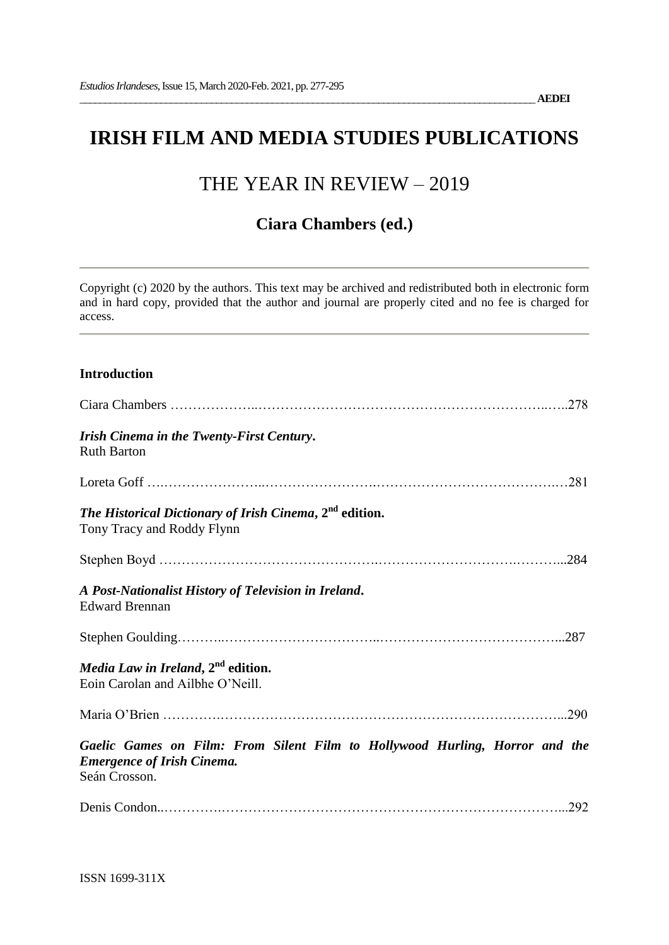# **IRISH FILM AND MEDIA STUDIES PUBLICATIONS**

# THE YEAR IN REVIEW – 2019

# **Ciara Chambers (ed.)**

Copyright (c) 2020 by the authors. This text may be archived and redistributed both in electronic form and in hard copy, provided that the author and journal are properly cited and no fee is charged for access.

### **Introduction**

|                                                                                                                                   | .278 |
|-----------------------------------------------------------------------------------------------------------------------------------|------|
| Irish Cinema in the Twenty-First Century.<br><b>Ruth Barton</b>                                                                   |      |
|                                                                                                                                   |      |
| The Historical Dictionary of Irish Cinema, 2 <sup>nd</sup> edition.<br>Tony Tracy and Roddy Flynn                                 |      |
|                                                                                                                                   | .284 |
| A Post-Nationalist History of Television in Ireland.<br><b>Edward Brennan</b>                                                     |      |
|                                                                                                                                   |      |
| Media Law in Ireland, 2 <sup>nd</sup> edition.<br>Eoin Carolan and Ailbhe O'Neill.                                                |      |
|                                                                                                                                   |      |
| Gaelic Games on Film: From Silent Film to Hollywood Hurling, Horror and the<br><b>Emergence of Irish Cinema.</b><br>Seán Crosson. |      |
|                                                                                                                                   | .292 |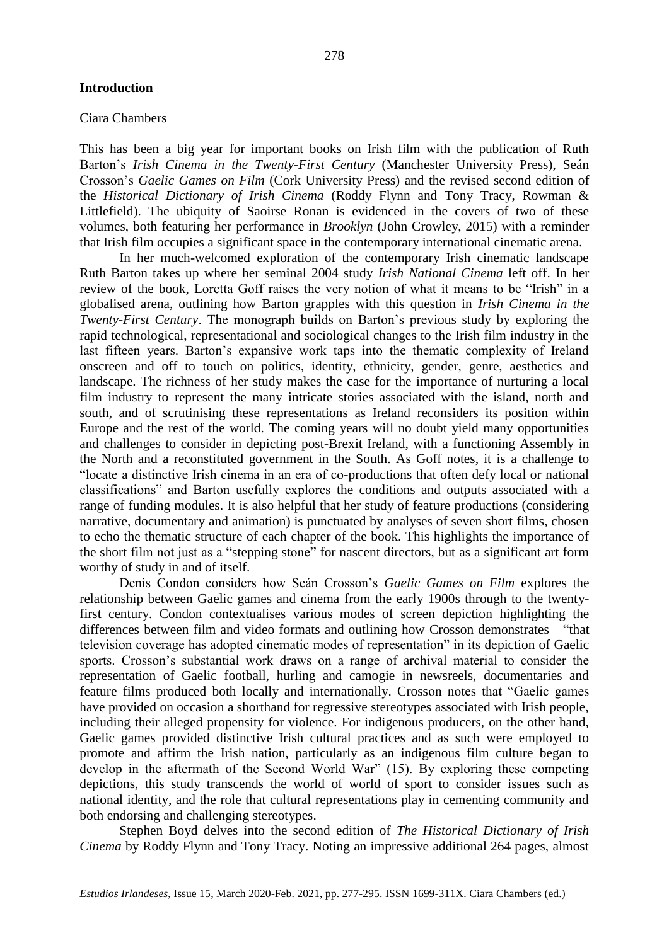#### Ciara Chambers

This has been a big year for important books on Irish film with the publication of Ruth Barton's *Irish Cinema in the Twenty-First Century* (Manchester University Press), Seán Crosson's *Gaelic Games on Film* (Cork University Press) and the revised second edition of the *Historical Dictionary of Irish Cinema* (Roddy Flynn and Tony Tracy, Rowman & Littlefield). The ubiquity of Saoirse Ronan is evidenced in the covers of two of these volumes, both featuring her performance in *Brooklyn* (John Crowley, 2015) with a reminder that Irish film occupies a significant space in the contemporary international cinematic arena.

In her much-welcomed exploration of the contemporary Irish cinematic landscape Ruth Barton takes up where her seminal 2004 study *Irish National Cinema* left off. In her review of the book, Loretta Goff raises the very notion of what it means to be "Irish" in a globalised arena, outlining how Barton grapples with this question in *Irish Cinema in the Twenty-First Century*. The monograph builds on Barton's previous study by exploring the rapid technological, representational and sociological changes to the Irish film industry in the last fifteen years. Barton's expansive work taps into the thematic complexity of Ireland onscreen and off to touch on politics, identity, ethnicity, gender, genre, aesthetics and landscape. The richness of her study makes the case for the importance of nurturing a local film industry to represent the many intricate stories associated with the island, north and south, and of scrutinising these representations as Ireland reconsiders its position within Europe and the rest of the world. The coming years will no doubt yield many opportunities and challenges to consider in depicting post-Brexit Ireland, with a functioning Assembly in the North and a reconstituted government in the South. As Goff notes, it is a challenge to "locate a distinctive Irish cinema in an era of co-productions that often defy local or national classifications" and Barton usefully explores the conditions and outputs associated with a range of funding modules. It is also helpful that her study of feature productions (considering narrative, documentary and animation) is punctuated by analyses of seven short films, chosen to echo the thematic structure of each chapter of the book. This highlights the importance of the short film not just as a "stepping stone" for nascent directors, but as a significant art form worthy of study in and of itself.

Denis Condon considers how Seán Crosson's *Gaelic Games on Film* explores the relationship between Gaelic games and cinema from the early 1900s through to the twentyfirst century. Condon contextualises various modes of screen depiction highlighting the differences between film and video formats and outlining how Crosson demonstrates "that television coverage has adopted cinematic modes of representation" in its depiction of Gaelic sports. Crosson's substantial work draws on a range of archival material to consider the representation of Gaelic football, hurling and camogie in newsreels, documentaries and feature films produced both locally and internationally. Crosson notes that "Gaelic games have provided on occasion a shorthand for regressive stereotypes associated with Irish people, including their alleged propensity for violence. For indigenous producers, on the other hand, Gaelic games provided distinctive Irish cultural practices and as such were employed to promote and affirm the Irish nation, particularly as an indigenous film culture began to develop in the aftermath of the Second World War" (15). By exploring these competing depictions, this study transcends the world of world of sport to consider issues such as national identity, and the role that cultural representations play in cementing community and both endorsing and challenging stereotypes.

Stephen Boyd delves into the second edition of *The Historical Dictionary of Irish Cinema* by Roddy Flynn and Tony Tracy. Noting an impressive additional 264 pages, almost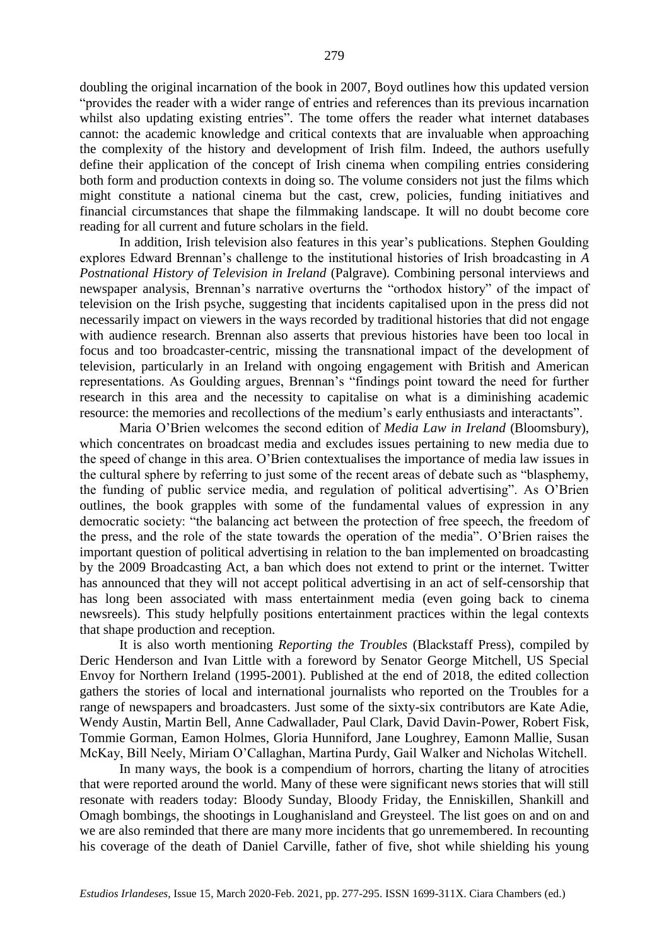doubling the original incarnation of the book in 2007, Boyd outlines how this updated version "provides the reader with a wider range of entries and references than its previous incarnation whilst also updating existing entries". The tome offers the reader what internet databases cannot: the academic knowledge and critical contexts that are invaluable when approaching the complexity of the history and development of Irish film. Indeed, the authors usefully define their application of the concept of Irish cinema when compiling entries considering both form and production contexts in doing so. The volume considers not just the films which might constitute a national cinema but the cast, crew, policies, funding initiatives and financial circumstances that shape the filmmaking landscape. It will no doubt become core reading for all current and future scholars in the field.

In addition, Irish television also features in this year's publications. Stephen Goulding explores Edward Brennan's challenge to the institutional histories of Irish broadcasting in *A Postnational History of Television in Ireland* (Palgrave)*.* Combining personal interviews and newspaper analysis, Brennan's narrative overturns the "orthodox history" of the impact of television on the Irish psyche, suggesting that incidents capitalised upon in the press did not necessarily impact on viewers in the ways recorded by traditional histories that did not engage with audience research. Brennan also asserts that previous histories have been too local in focus and too broadcaster-centric, missing the transnational impact of the development of television, particularly in an Ireland with ongoing engagement with British and American representations. As Goulding argues, Brennan's "findings point toward the need for further research in this area and the necessity to capitalise on what is a diminishing academic resource: the memories and recollections of the medium's early enthusiasts and interactants".

Maria O'Brien welcomes the second edition of *Media Law in Ireland* (Bloomsbury), which concentrates on broadcast media and excludes issues pertaining to new media due to the speed of change in this area. O'Brien contextualises the importance of media law issues in the cultural sphere by referring to just some of the recent areas of debate such as "blasphemy, the funding of public service media, and regulation of political advertising". As O'Brien outlines, the book grapples with some of the fundamental values of expression in any democratic society: "the balancing act between the protection of free speech, the freedom of the press, and the role of the state towards the operation of the media". O'Brien raises the important question of political advertising in relation to the ban implemented on broadcasting by the 2009 Broadcasting Act, a ban which does not extend to print or the internet. Twitter has announced that they will not accept political advertising in an act of self-censorship that has long been associated with mass entertainment media (even going back to cinema newsreels). This study helpfully positions entertainment practices within the legal contexts that shape production and reception.

It is also worth mentioning *Reporting the Troubles* (Blackstaff Press), compiled by Deric Henderson and Ivan Little with a foreword by Senator George Mitchell, US Special Envoy for Northern Ireland (1995-2001). Published at the end of 2018, the edited collection gathers the stories of local and international journalists who reported on the Troubles for a range of newspapers and broadcasters. Just some of the sixty-six contributors are Kate Adie, Wendy Austin, Martin Bell, Anne Cadwallader, Paul Clark, David Davin-Power, Robert Fisk, Tommie Gorman, Eamon Holmes, Gloria Hunniford, Jane Loughrey, Eamonn Mallie, Susan McKay, Bill Neely, Miriam O'Callaghan, Martina Purdy, Gail Walker and Nicholas Witchell.

In many ways, the book is a compendium of horrors, charting the litany of atrocities that were reported around the world. Many of these were significant news stories that will still resonate with readers today: Bloody Sunday, Bloody Friday, the Enniskillen, Shankill and Omagh bombings, the shootings in Loughanisland and Greysteel. The list goes on and on and we are also reminded that there are many more incidents that go unremembered. In recounting his coverage of the death of Daniel Carville, father of five, shot while shielding his young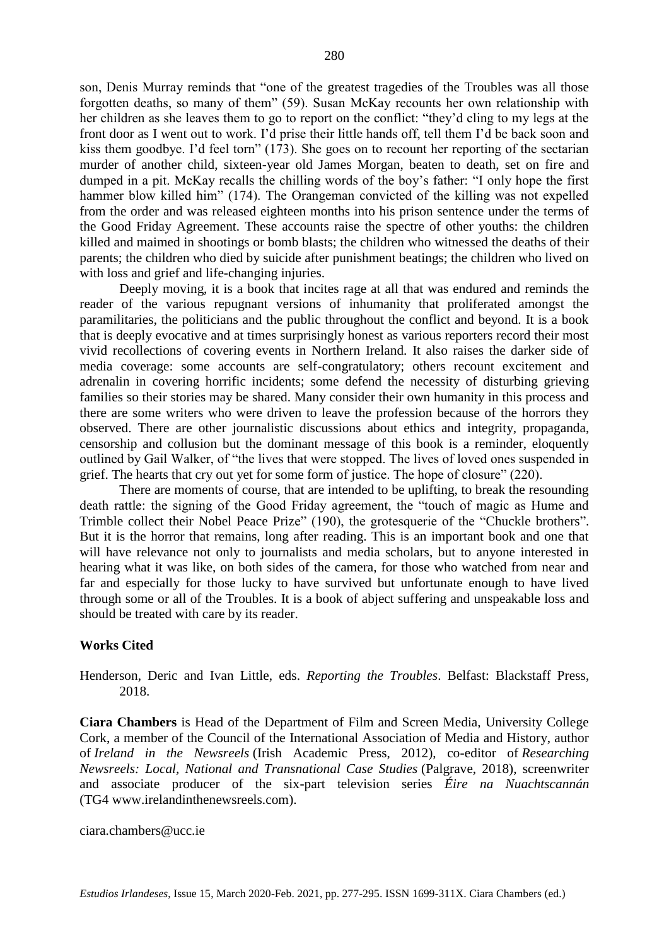son, Denis Murray reminds that "one of the greatest tragedies of the Troubles was all those forgotten deaths, so many of them" (59). Susan McKay recounts her own relationship with her children as she leaves them to go to report on the conflict: "they'd cling to my legs at the front door as I went out to work. I'd prise their little hands off, tell them I'd be back soon and kiss them goodbye. I'd feel torn" (173). She goes on to recount her reporting of the sectarian murder of another child, sixteen-year old James Morgan, beaten to death, set on fire and dumped in a pit. McKay recalls the chilling words of the boy's father: "I only hope the first hammer blow killed him" (174). The Orangeman convicted of the killing was not expelled from the order and was released eighteen months into his prison sentence under the terms of the Good Friday Agreement. These accounts raise the spectre of other youths: the children killed and maimed in shootings or bomb blasts; the children who witnessed the deaths of their parents; the children who died by suicide after punishment beatings; the children who lived on with loss and grief and life-changing injuries.

Deeply moving, it is a book that incites rage at all that was endured and reminds the reader of the various repugnant versions of inhumanity that proliferated amongst the paramilitaries, the politicians and the public throughout the conflict and beyond. It is a book that is deeply evocative and at times surprisingly honest as various reporters record their most vivid recollections of covering events in Northern Ireland. It also raises the darker side of media coverage: some accounts are self-congratulatory; others recount excitement and adrenalin in covering horrific incidents; some defend the necessity of disturbing grieving families so their stories may be shared. Many consider their own humanity in this process and there are some writers who were driven to leave the profession because of the horrors they observed. There are other journalistic discussions about ethics and integrity, propaganda, censorship and collusion but the dominant message of this book is a reminder, eloquently outlined by Gail Walker, of "the lives that were stopped. The lives of loved ones suspended in grief. The hearts that cry out yet for some form of justice. The hope of closure" (220).

There are moments of course, that are intended to be uplifting, to break the resounding death rattle: the signing of the Good Friday agreement, the "touch of magic as Hume and Trimble collect their Nobel Peace Prize" (190), the grotesquerie of the "Chuckle brothers". But it is the horror that remains, long after reading. This is an important book and one that will have relevance not only to journalists and media scholars, but to anyone interested in hearing what it was like, on both sides of the camera, for those who watched from near and far and especially for those lucky to have survived but unfortunate enough to have lived through some or all of the Troubles. It is a book of abject suffering and unspeakable loss and should be treated with care by its reader.

### **Works Cited**

Henderson, Deric and Ivan Little, eds. *Reporting the Troubles*. Belfast: Blackstaff Press, 2018.

**Ciara Chambers** is Head of the Department of Film and Screen Media, University College Cork, a member of the Council of the International Association of Media and History, author of *Ireland in the Newsreels* (Irish Academic Press, 2012), co-editor of *Researching Newsreels: Local, National and Transnational Case Studies* (Palgrave, 2018), screenwriter and associate producer of the six-part television series *Éire na Nuachtscannán* (TG4 [www.irelandinthenewsreels.com\)](http://www.irelandinthenewsreels.com/).

ciara.chambers@ucc.ie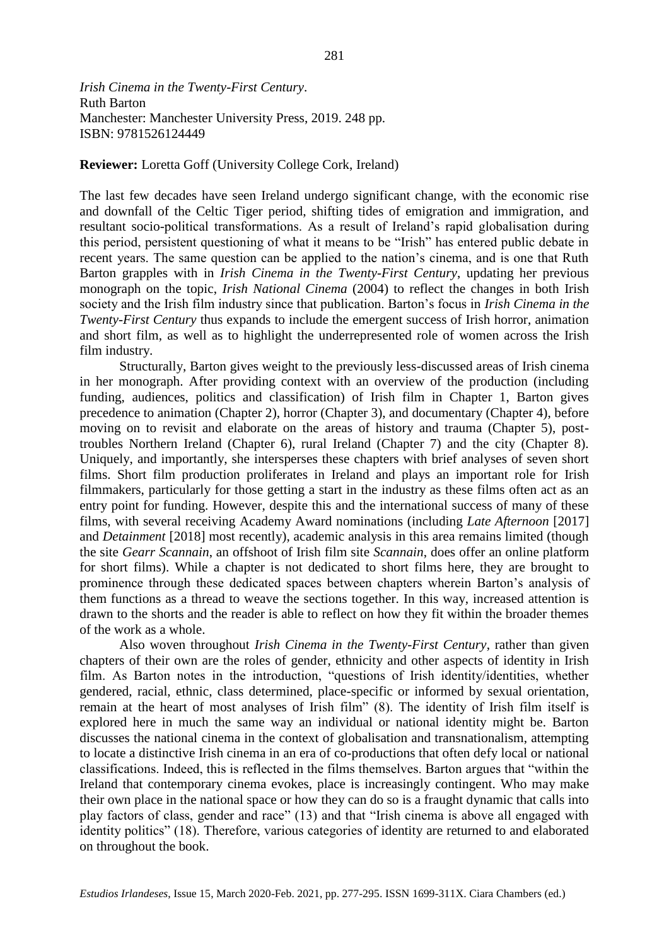*Irish Cinema in the Twenty-First Century*. Ruth Barton Manchester: Manchester University Press, 2019. 248 pp. ISBN: 9781526124449

**Reviewer:** Loretta Goff (University College Cork, Ireland)

The last few decades have seen Ireland undergo significant change, with the economic rise and downfall of the Celtic Tiger period, shifting tides of emigration and immigration, and resultant socio-political transformations. As a result of Ireland's rapid globalisation during this period, persistent questioning of what it means to be "Irish" has entered public debate in recent years. The same question can be applied to the nation's cinema, and is one that Ruth Barton grapples with in *Irish Cinema in the Twenty-First Century*, updating her previous monograph on the topic, *Irish National Cinema* (2004) to reflect the changes in both Irish society and the Irish film industry since that publication. Barton's focus in *Irish Cinema in the Twenty-First Century* thus expands to include the emergent success of Irish horror, animation and short film, as well as to highlight the underrepresented role of women across the Irish film industry.

Structurally, Barton gives weight to the previously less-discussed areas of Irish cinema in her monograph. After providing context with an overview of the production (including funding, audiences, politics and classification) of Irish film in Chapter 1, Barton gives precedence to animation (Chapter 2), horror (Chapter 3), and documentary (Chapter 4), before moving on to revisit and elaborate on the areas of history and trauma (Chapter 5), posttroubles Northern Ireland (Chapter 6), rural Ireland (Chapter 7) and the city (Chapter 8). Uniquely, and importantly, she intersperses these chapters with brief analyses of seven short films. Short film production proliferates in Ireland and plays an important role for Irish filmmakers, particularly for those getting a start in the industry as these films often act as an entry point for funding. However, despite this and the international success of many of these films, with several receiving Academy Award nominations (including *Late Afternoon* [2017] and *Detainment* [2018] most recently), academic analysis in this area remains limited (though the site *Gearr Scannain*, an offshoot of Irish film site *Scannain*, does offer an online platform for short films). While a chapter is not dedicated to short films here, they are brought to prominence through these dedicated spaces between chapters wherein Barton's analysis of them functions as a thread to weave the sections together. In this way, increased attention is drawn to the shorts and the reader is able to reflect on how they fit within the broader themes of the work as a whole.

Also woven throughout *Irish Cinema in the Twenty-First Century*, rather than given chapters of their own are the roles of gender, ethnicity and other aspects of identity in Irish film. As Barton notes in the introduction, "questions of Irish identity/identities, whether gendered, racial, ethnic, class determined, place-specific or informed by sexual orientation, remain at the heart of most analyses of Irish film" (8). The identity of Irish film itself is explored here in much the same way an individual or national identity might be. Barton discusses the national cinema in the context of globalisation and transnationalism, attempting to locate a distinctive Irish cinema in an era of co-productions that often defy local or national classifications. Indeed, this is reflected in the films themselves. Barton argues that "within the Ireland that contemporary cinema evokes, place is increasingly contingent. Who may make their own place in the national space or how they can do so is a fraught dynamic that calls into play factors of class, gender and race" (13) and that "Irish cinema is above all engaged with identity politics" (18). Therefore, various categories of identity are returned to and elaborated on throughout the book.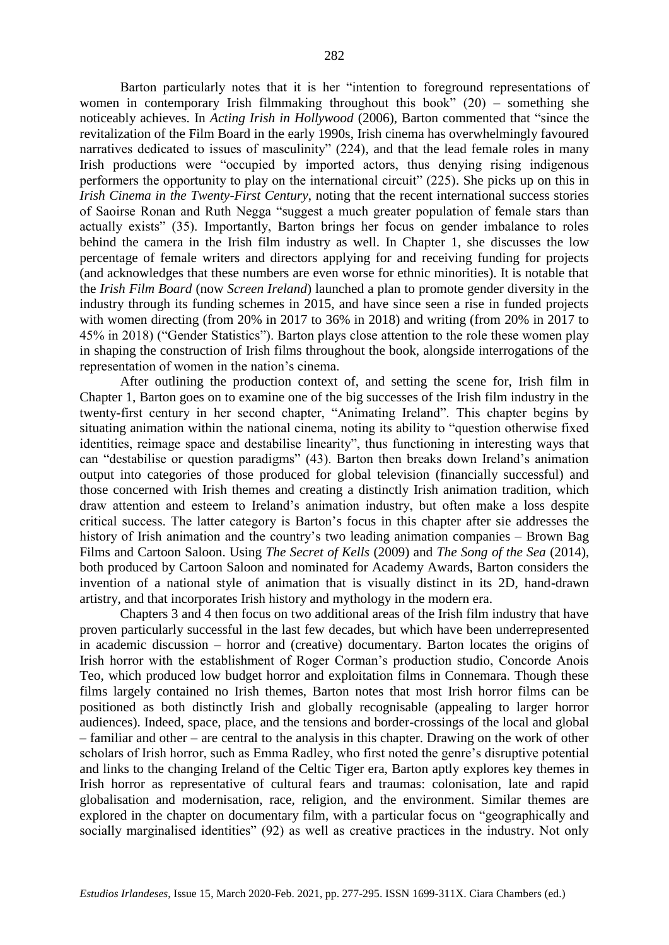Barton particularly notes that it is her "intention to foreground representations of women in contemporary Irish filmmaking throughout this book" (20) – something she noticeably achieves. In *Acting Irish in Hollywood* (2006), Barton commented that "since the revitalization of the Film Board in the early 1990s, Irish cinema has overwhelmingly favoured narratives dedicated to issues of masculinity" (224), and that the lead female roles in many Irish productions were "occupied by imported actors, thus denying rising indigenous performers the opportunity to play on the international circuit" (225). She picks up on this in *Irish Cinema in the Twenty-First Century*, noting that the recent international success stories of Saoirse Ronan and Ruth Negga "suggest a much greater population of female stars than actually exists" (35). Importantly, Barton brings her focus on gender imbalance to roles behind the camera in the Irish film industry as well. In Chapter 1, she discusses the low percentage of female writers and directors applying for and receiving funding for projects (and acknowledges that these numbers are even worse for ethnic minorities). It is notable that the *Irish Film Board* (now *Screen Ireland*) launched a plan to promote gender diversity in the industry through its funding schemes in 2015, and have since seen a rise in funded projects with women directing (from 20% in 2017 to 36% in 2018) and writing (from 20% in 2017 to 45% in 2018) ("Gender Statistics"). Barton plays close attention to the role these women play in shaping the construction of Irish films throughout the book, alongside interrogations of the representation of women in the nation's cinema.

After outlining the production context of, and setting the scene for, Irish film in Chapter 1, Barton goes on to examine one of the big successes of the Irish film industry in the twenty-first century in her second chapter, "Animating Ireland". This chapter begins by situating animation within the national cinema, noting its ability to "question otherwise fixed identities, reimage space and destabilise linearity", thus functioning in interesting ways that can "destabilise or question paradigms" (43). Barton then breaks down Ireland's animation output into categories of those produced for global television (financially successful) and those concerned with Irish themes and creating a distinctly Irish animation tradition, which draw attention and esteem to Ireland's animation industry, but often make a loss despite critical success. The latter category is Barton's focus in this chapter after sie addresses the history of Irish animation and the country's two leading animation companies – Brown Bag Films and Cartoon Saloon. Using *The Secret of Kells* (2009) and *The Song of the Sea* (2014), both produced by Cartoon Saloon and nominated for Academy Awards, Barton considers the invention of a national style of animation that is visually distinct in its 2D, hand-drawn artistry, and that incorporates Irish history and mythology in the modern era.

Chapters 3 and 4 then focus on two additional areas of the Irish film industry that have proven particularly successful in the last few decades, but which have been underrepresented in academic discussion – horror and (creative) documentary. Barton locates the origins of Irish horror with the establishment of Roger Corman's production studio, Concorde Anois Teo, which produced low budget horror and exploitation films in Connemara. Though these films largely contained no Irish themes, Barton notes that most Irish horror films can be positioned as both distinctly Irish and globally recognisable (appealing to larger horror audiences). Indeed, space, place, and the tensions and border-crossings of the local and global – familiar and other – are central to the analysis in this chapter. Drawing on the work of other scholars of Irish horror, such as Emma Radley, who first noted the genre's disruptive potential and links to the changing Ireland of the Celtic Tiger era, Barton aptly explores key themes in Irish horror as representative of cultural fears and traumas: colonisation, late and rapid globalisation and modernisation, race, religion, and the environment. Similar themes are explored in the chapter on documentary film, with a particular focus on "geographically and socially marginalised identities" (92) as well as creative practices in the industry. Not only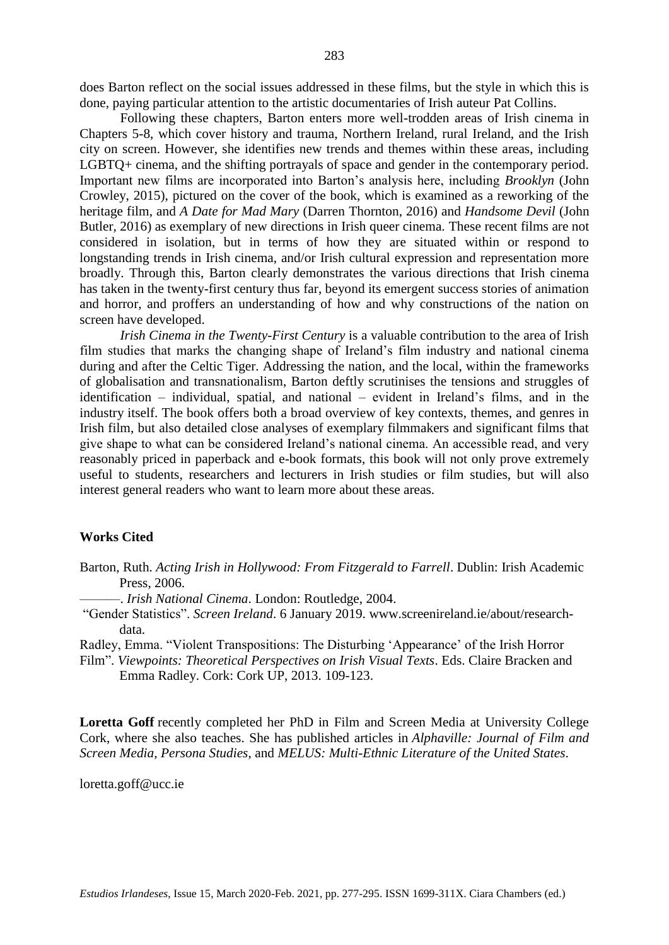does Barton reflect on the social issues addressed in these films, but the style in which this is done, paying particular attention to the artistic documentaries of Irish auteur Pat Collins.

Following these chapters, Barton enters more well-trodden areas of Irish cinema in Chapters 5-8, which cover history and trauma, Northern Ireland, rural Ireland, and the Irish city on screen. However, she identifies new trends and themes within these areas, including LGBTQ+ cinema, and the shifting portrayals of space and gender in the contemporary period. Important new films are incorporated into Barton's analysis here, including *Brooklyn* (John Crowley, 2015), pictured on the cover of the book, which is examined as a reworking of the heritage film, and *A Date for Mad Mary* (Darren Thornton, 2016) and *Handsome Devil* (John Butler, 2016) as exemplary of new directions in Irish queer cinema. These recent films are not considered in isolation, but in terms of how they are situated within or respond to longstanding trends in Irish cinema, and/or Irish cultural expression and representation more broadly. Through this, Barton clearly demonstrates the various directions that Irish cinema has taken in the twenty-first century thus far, beyond its emergent success stories of animation and horror, and proffers an understanding of how and why constructions of the nation on screen have developed.

*Irish Cinema in the Twenty-First Century* is a valuable contribution to the area of Irish film studies that marks the changing shape of Ireland's film industry and national cinema during and after the Celtic Tiger. Addressing the nation, and the local, within the frameworks of globalisation and transnationalism, Barton deftly scrutinises the tensions and struggles of identification – individual, spatial, and national – evident in Ireland's films, and in the industry itself. The book offers both a broad overview of key contexts, themes, and genres in Irish film, but also detailed close analyses of exemplary filmmakers and significant films that give shape to what can be considered Ireland's national cinema. An accessible read, and very reasonably priced in paperback and e-book formats, this book will not only prove extremely useful to students, researchers and lecturers in Irish studies or film studies, but will also interest general readers who want to learn more about these areas.

## **Works Cited**

- Barton, Ruth. *Acting Irish in Hollywood: From Fitzgerald to Farrell*. Dublin: Irish Academic Press, 2006.
	- ———. *Irish National Cinema*. London: Routledge, 2004.
- "Gender Statistics". *Screen Ireland*. 6 January 2019. [www.screenireland.ie/about/research](http://www.screenireland.ie/about/research-data)[data.](http://www.screenireland.ie/about/research-data)

Radley, Emma. "Violent Transpositions: The Disturbing 'Appearance' of the Irish Horror

Film". *Viewpoints: Theoretical Perspectives on Irish Visual Texts*. Eds. Claire Bracken and Emma Radley. Cork: Cork UP, 2013. 109-123.

**Loretta Goff** recently completed her PhD in Film and Screen Media at University College Cork, where she also teaches. She has published articles in *Alphaville: Journal of Film and Screen Media, Persona Studies*, and *MELUS: Multi-Ethnic Literature of the United States*.

loretta.goff@ucc.ie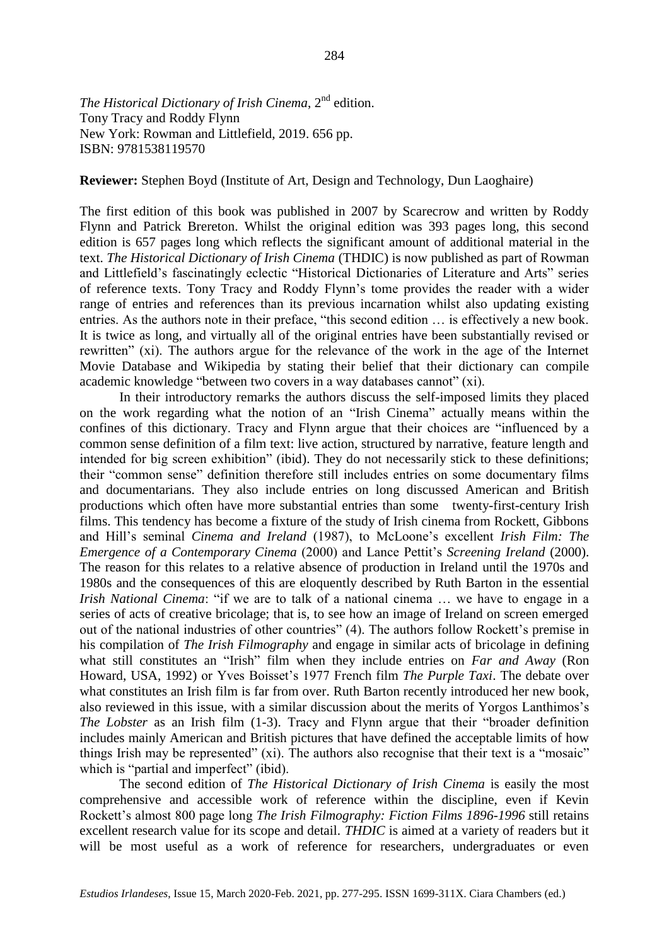*The Historical Dictionary of Irish Cinema*, 2<sup>nd</sup> edition. Tony Tracy and Roddy Flynn New York: Rowman and Littlefield, 2019. 656 pp. ISBN: 9781538119570

**Reviewer:** Stephen Boyd (Institute of Art, Design and Technology, Dun Laoghaire)

The first edition of this book was published in 2007 by Scarecrow and written by Roddy Flynn and Patrick Brereton. Whilst the original edition was 393 pages long, this second edition is 657 pages long which reflects the significant amount of additional material in the text. *The Historical Dictionary of Irish Cinema* (THDIC) is now published as part of Rowman and Littlefield's fascinatingly eclectic "Historical Dictionaries of Literature and Arts" series of reference texts. Tony Tracy and Roddy Flynn's tome provides the reader with a wider range of entries and references than its previous incarnation whilst also updating existing entries. As the authors note in their preface, "this second edition … is effectively a new book. It is twice as long, and virtually all of the original entries have been substantially revised or rewritten" (xi). The authors argue for the relevance of the work in the age of the Internet Movie Database and Wikipedia by stating their belief that their dictionary can compile academic knowledge "between two covers in a way databases cannot" (xi).

In their introductory remarks the authors discuss the self-imposed limits they placed on the work regarding what the notion of an "Irish Cinema" actually means within the confines of this dictionary. Tracy and Flynn argue that their choices are "influenced by a common sense definition of a film text: live action, structured by narrative, feature length and intended for big screen exhibition" (ibid). They do not necessarily stick to these definitions; their "common sense" definition therefore still includes entries on some documentary films and documentarians. They also include entries on long discussed American and British productions which often have more substantial entries than some twenty-first-century Irish films. This tendency has become a fixture of the study of Irish cinema from Rockett, Gibbons and Hill's seminal *Cinema and Ireland* (1987), to McLoone's excellent *Irish Film: The Emergence of a Contemporary Cinema* (2000) and Lance Pettit's *Screening Ireland* (2000). The reason for this relates to a relative absence of production in Ireland until the 1970s and 1980s and the consequences of this are eloquently described by Ruth Barton in the essential *Irish National Cinema*: "if we are to talk of a national cinema ... we have to engage in a series of acts of creative bricolage; that is, to see how an image of Ireland on screen emerged out of the national industries of other countries" (4). The authors follow Rockett's premise in his compilation of *The Irish Filmography* and engage in similar acts of bricolage in defining what still constitutes an "Irish" film when they include entries on *Far and Away* (Ron Howard, USA, 1992) or Yves Boisset's 1977 French film *The Purple Taxi*. The debate over what constitutes an Irish film is far from over. Ruth Barton recently introduced her new book, also reviewed in this issue, with a similar discussion about the merits of Yorgos Lanthimos's *The Lobster* as an Irish film (1-3). Tracy and Flynn argue that their "broader definition includes mainly American and British pictures that have defined the acceptable limits of how things Irish may be represented" (xi). The authors also recognise that their text is a "mosaic" which is "partial and imperfect" (ibid).

The second edition of *The Historical Dictionary of Irish Cinema* is easily the most comprehensive and accessible work of reference within the discipline, even if Kevin Rockett's almost 800 page long *The Irish Filmography: Fiction Films 1896-1996* still retains excellent research value for its scope and detail. *THDIC* is aimed at a variety of readers but it will be most useful as a work of reference for researchers, undergraduates or even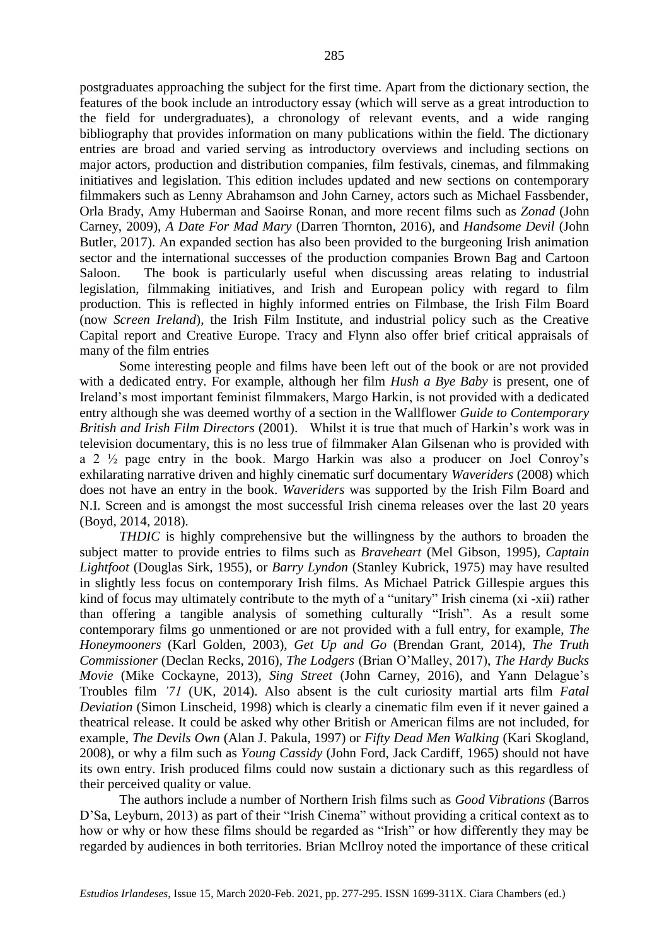postgraduates approaching the subject for the first time. Apart from the dictionary section, the features of the book include an introductory essay (which will serve as a great introduction to the field for undergraduates), a chronology of relevant events, and a wide ranging bibliography that provides information on many publications within the field. The dictionary entries are broad and varied serving as introductory overviews and including sections on major actors, production and distribution companies, film festivals, cinemas, and filmmaking initiatives and legislation. This edition includes updated and new sections on contemporary filmmakers such as Lenny Abrahamson and John Carney, actors such as Michael Fassbender, Orla Brady, Amy Huberman and Saoirse Ronan, and more recent films such as *Zonad* (John Carney, 2009), *A Date For Mad Mary* (Darren Thornton, 2016), and *Handsome Devil* (John Butler, 2017). An expanded section has also been provided to the burgeoning Irish animation sector and the international successes of the production companies Brown Bag and Cartoon Saloon. The book is particularly useful when discussing areas relating to industrial legislation, filmmaking initiatives, and Irish and European policy with regard to film production. This is reflected in highly informed entries on Filmbase, the Irish Film Board (now *Screen Ireland*), the Irish Film Institute, and industrial policy such as the Creative Capital report and Creative Europe. Tracy and Flynn also offer brief critical appraisals of many of the film entries

Some interesting people and films have been left out of the book or are not provided with a dedicated entry. For example, although her film *Hush a Bye Baby* is present, one of Ireland's most important feminist filmmakers, Margo Harkin, is not provided with a dedicated entry although she was deemed worthy of a section in the Wallflower *Guide to Contemporary British and Irish Film Directors* (2001). Whilst it is true that much of Harkin's work was in television documentary, this is no less true of filmmaker Alan Gilsenan who is provided with a 2 ½ page entry in the book. Margo Harkin was also a producer on Joel Conroy's exhilarating narrative driven and highly cinematic surf documentary *Waveriders* (2008) which does not have an entry in the book. *Waveriders* was supported by the Irish Film Board and N.I. Screen and is amongst the most successful Irish cinema releases over the last 20 years (Boyd, 2014, 2018).

*THDIC* is highly comprehensive but the willingness by the authors to broaden the subject matter to provide entries to films such as *Braveheart* (Mel Gibson, 1995)*, Captain Lightfoot* (Douglas Sirk, 1955)*,* or *Barry Lyndon* (Stanley Kubrick, 1975) may have resulted in slightly less focus on contemporary Irish films. As Michael Patrick Gillespie argues this kind of focus may ultimately contribute to the myth of a "unitary" Irish cinema (xi -xii) rather than offering a tangible analysis of something culturally "Irish". As a result some contemporary films go unmentioned or are not provided with a full entry, for example, *The Honeymooners* (Karl Golden, 2003), *Get Up and Go* (Brendan Grant, 2014), *The Truth Commissioner* (Declan Recks, 2016)*, The Lodgers* (Brian O'Malley, 2017), *The Hardy Bucks Movie* (Mike Cockayne, 2013)*, Sing Street* (John Carney, 2016)*,* and Yann Delague's Troubles film *'71* (UK, 2014). Also absent is the cult curiosity martial arts film *Fatal Deviation* (Simon Linscheid, 1998) which is clearly a cinematic film even if it never gained a theatrical release. It could be asked why other British or American films are not included, for example, *The Devils Own* (Alan J. Pakula, 1997) or *Fifty Dead Men Walking* (Kari Skogland, 2008), or why a film such as *Young Cassidy* (John Ford, Jack Cardiff, 1965) should not have its own entry. Irish produced films could now sustain a dictionary such as this regardless of their perceived quality or value.

The authors include a number of Northern Irish films such as *Good Vibrations* (Barros D'Sa, Leyburn, 2013) as part of their "Irish Cinema" without providing a critical context as to how or why or how these films should be regarded as "Irish" or how differently they may be regarded by audiences in both territories. Brian McIlroy noted the importance of these critical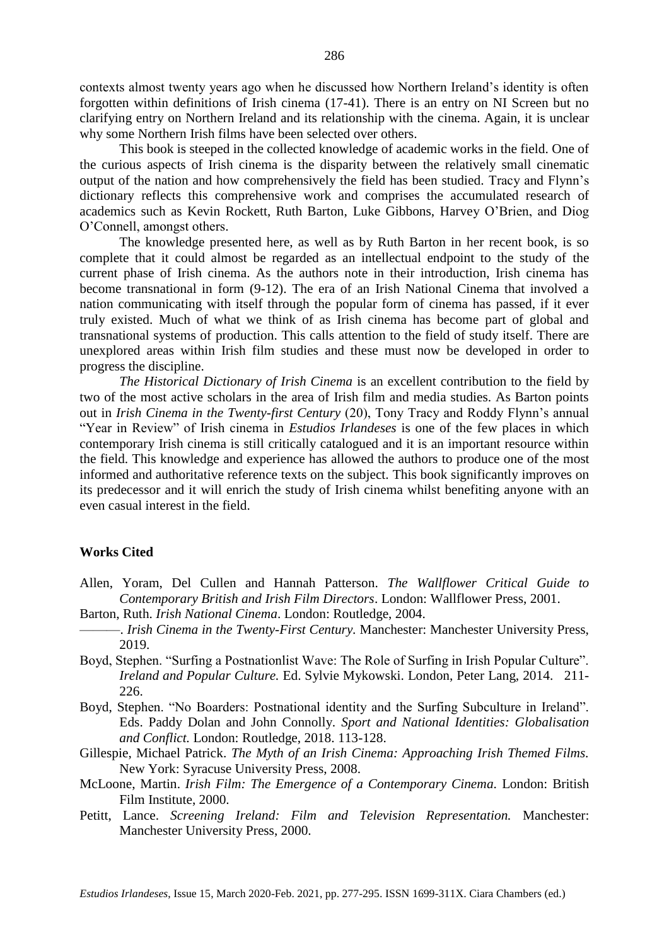contexts almost twenty years ago when he discussed how Northern Ireland's identity is often forgotten within definitions of Irish cinema (17-41). There is an entry on NI Screen but no clarifying entry on Northern Ireland and its relationship with the cinema. Again, it is unclear why some Northern Irish films have been selected over others.

This book is steeped in the collected knowledge of academic works in the field. One of the curious aspects of Irish cinema is the disparity between the relatively small cinematic output of the nation and how comprehensively the field has been studied. Tracy and Flynn's dictionary reflects this comprehensive work and comprises the accumulated research of academics such as Kevin Rockett, Ruth Barton, Luke Gibbons, Harvey O'Brien, and Diog O'Connell, amongst others.

The knowledge presented here, as well as by Ruth Barton in her recent book, is so complete that it could almost be regarded as an intellectual endpoint to the study of the current phase of Irish cinema. As the authors note in their introduction, Irish cinema has become transnational in form (9-12). The era of an Irish National Cinema that involved a nation communicating with itself through the popular form of cinema has passed, if it ever truly existed. Much of what we think of as Irish cinema has become part of global and transnational systems of production. This calls attention to the field of study itself. There are unexplored areas within Irish film studies and these must now be developed in order to progress the discipline.

*The Historical Dictionary of Irish Cinema* is an excellent contribution to the field by two of the most active scholars in the area of Irish film and media studies. As Barton points out in *Irish Cinema in the Twenty-first Century* (20), Tony Tracy and Roddy Flynn's annual "Year in Review" of Irish cinema in *Estudios Irlandeses* is one of the few places in which contemporary Irish cinema is still critically catalogued and it is an important resource within the field. This knowledge and experience has allowed the authors to produce one of the most informed and authoritative reference texts on the subject. This book significantly improves on its predecessor and it will enrich the study of Irish cinema whilst benefiting anyone with an even casual interest in the field.

#### **Works Cited**

- Allen, Yoram, Del Cullen and Hannah Patterson. *The Wallflower Critical Guide to Contemporary British and Irish Film Directors*. London: Wallflower Press, 2001.
- Barton, Ruth. *Irish National Cinema*. London: Routledge, 2004.
- ———. *Irish Cinema in the Twenty-First Century.* Manchester: Manchester University Press, 2019.
- Boyd, Stephen. "Surfing a Postnationlist Wave: The Role of Surfing in Irish Popular Culture". *Ireland and Popular Culture.* Ed. Sylvie Mykowski. London, Peter Lang, 2014. 211- 226.
- Boyd, Stephen. "No Boarders: Postnational identity and the Surfing Subculture in Ireland". Eds. Paddy Dolan and John Connolly. *Sport and National Identities: Globalisation and Conflict.* London: Routledge, 2018. 113-128.
- Gillespie, Michael Patrick. *The Myth of an Irish Cinema: Approaching Irish Themed Films.*  New York: Syracuse University Press, 2008.
- McLoone, Martin. *Irish Film: The Emergence of a Contemporary Cinema.* London: British Film Institute, 2000.
- Petitt, Lance. *Screening Ireland: Film and Television Representation.* Manchester: Manchester University Press, 2000.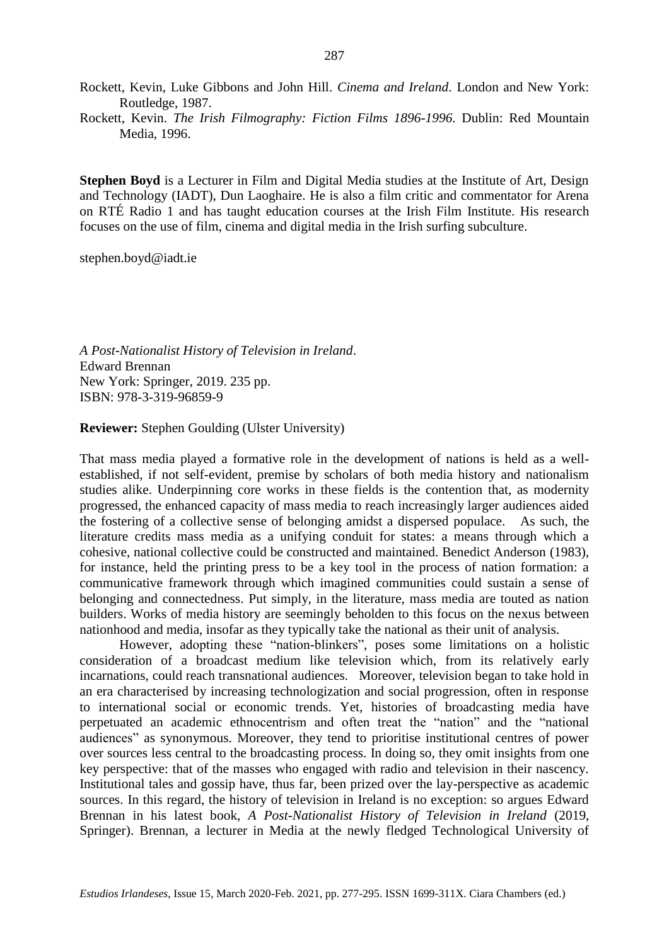Rockett, Kevin, Luke Gibbons and John Hill. *Cinema and Ireland*. London and New York: Routledge, 1987.

Rockett, Kevin. *The Irish Filmography: Fiction Films 1896-1996*. Dublin: Red Mountain Media, 1996.

**Stephen Boyd** is a Lecturer in Film and Digital Media studies at the Institute of Art, Design and Technology (IADT), Dun Laoghaire. He is also a film critic and commentator for Arena on RTÉ Radio 1 and has taught education courses at the Irish Film Institute. His research focuses on the use of film, cinema and digital media in the Irish surfing subculture.

stephen.boyd@iadt.ie

*A Post-Nationalist History of Television in Ireland*. Edward Brennan New York: Springer, 2019. 235 pp. ISBN: 978-3-319-96859-9

**Reviewer:** Stephen Goulding (Ulster University)

That mass media played a formative role in the development of nations is held as a wellestablished, if not self-evident, premise by scholars of both media history and nationalism studies alike. Underpinning core works in these fields is the contention that, as modernity progressed, the enhanced capacity of mass media to reach increasingly larger audiences aided the fostering of a collective sense of belonging amidst a dispersed populace. As such, the literature credits mass media as a unifying conduit for states: a means through which a cohesive, national collective could be constructed and maintained. Benedict Anderson (1983), for instance, held the printing press to be a key tool in the process of nation formation: a communicative framework through which imagined communities could sustain a sense of belonging and connectedness. Put simply, in the literature, mass media are touted as nation builders. Works of media history are seemingly beholden to this focus on the nexus between nationhood and media, insofar as they typically take the national as their unit of analysis.

However, adopting these "nation-blinkers", poses some limitations on a holistic consideration of a broadcast medium like television which, from its relatively early incarnations, could reach transnational audiences. Moreover, television began to take hold in an era characterised by increasing technologization and social progression, often in response to international social or economic trends. Yet, histories of broadcasting media have perpetuated an academic ethnocentrism and often treat the "nation" and the "national audiences" as synonymous. Moreover, they tend to prioritise institutional centres of power over sources less central to the broadcasting process. In doing so, they omit insights from one key perspective: that of the masses who engaged with radio and television in their nascency. Institutional tales and gossip have, thus far, been prized over the lay-perspective as academic sources. In this regard, the history of television in Ireland is no exception: so argues Edward Brennan in his latest book, *A Post-Nationalist History of Television in Ireland* (2019, Springer). Brennan, a lecturer in Media at the newly fledged Technological University of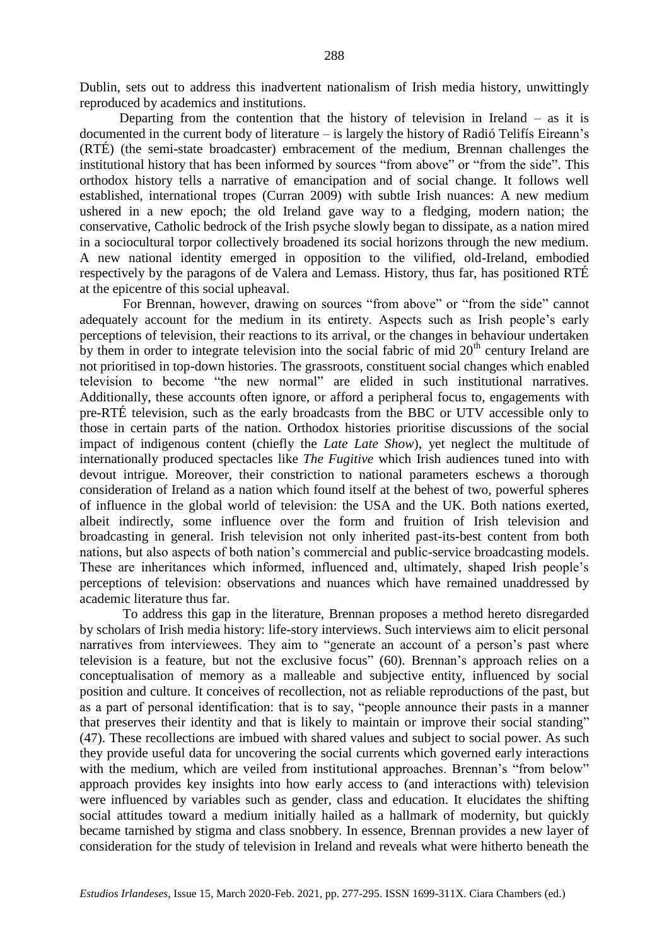Dublin, sets out to address this inadvertent nationalism of Irish media history, unwittingly reproduced by academics and institutions.

Departing from the contention that the history of television in Ireland  $-$  as it is documented in the current body of literature – is largely the history of Radió Telifís Eireann's (RTÉ) (the semi-state broadcaster) embracement of the medium, Brennan challenges the institutional history that has been informed by sources "from above" or "from the side". This orthodox history tells a narrative of emancipation and of social change. It follows well established, international tropes (Curran 2009) with subtle Irish nuances: A new medium ushered in a new epoch; the old Ireland gave way to a fledging, modern nation; the conservative, Catholic bedrock of the Irish psyche slowly began to dissipate, as a nation mired in a sociocultural torpor collectively broadened its social horizons through the new medium. A new national identity emerged in opposition to the vilified, old-Ireland, embodied respectively by the paragons of de Valera and Lemass. History, thus far, has positioned RTÉ at the epicentre of this social upheaval.

For Brennan, however, drawing on sources "from above" or "from the side" cannot adequately account for the medium in its entirety. Aspects such as Irish people's early perceptions of television, their reactions to its arrival, or the changes in behaviour undertaken by them in order to integrate television into the social fabric of mid  $20<sup>th</sup>$  century Ireland are not prioritised in top-down histories. The grassroots, constituent social changes which enabled television to become "the new normal" are elided in such institutional narratives. Additionally, these accounts often ignore, or afford a peripheral focus to, engagements with pre-RTÉ television, such as the early broadcasts from the BBC or UTV accessible only to those in certain parts of the nation. Orthodox histories prioritise discussions of the social impact of indigenous content (chiefly the *Late Late Show*), yet neglect the multitude of internationally produced spectacles like *The Fugitive* which Irish audiences tuned into with devout intrigue*.* Moreover, their constriction to national parameters eschews a thorough consideration of Ireland as a nation which found itself at the behest of two, powerful spheres of influence in the global world of television: the USA and the UK. Both nations exerted, albeit indirectly, some influence over the form and fruition of Irish television and broadcasting in general. Irish television not only inherited past-its-best content from both nations, but also aspects of both nation's commercial and public-service broadcasting models. These are inheritances which informed, influenced and, ultimately, shaped Irish people's perceptions of television: observations and nuances which have remained unaddressed by academic literature thus far.

To address this gap in the literature, Brennan proposes a method hereto disregarded by scholars of Irish media history: life-story interviews. Such interviews aim to elicit personal narratives from interviewees. They aim to "generate an account of a person's past where television is a feature, but not the exclusive focus" (60). Brennan's approach relies on a conceptualisation of memory as a malleable and subjective entity, influenced by social position and culture. It conceives of recollection, not as reliable reproductions of the past, but as a part of personal identification: that is to say, "people announce their pasts in a manner that preserves their identity and that is likely to maintain or improve their social standing" (47). These recollections are imbued with shared values and subject to social power. As such they provide useful data for uncovering the social currents which governed early interactions with the medium, which are veiled from institutional approaches. Brennan's "from below" approach provides key insights into how early access to (and interactions with) television were influenced by variables such as gender, class and education. It elucidates the shifting social attitudes toward a medium initially hailed as a hallmark of modernity, but quickly became tarnished by stigma and class snobbery. In essence, Brennan provides a new layer of consideration for the study of television in Ireland and reveals what were hitherto beneath the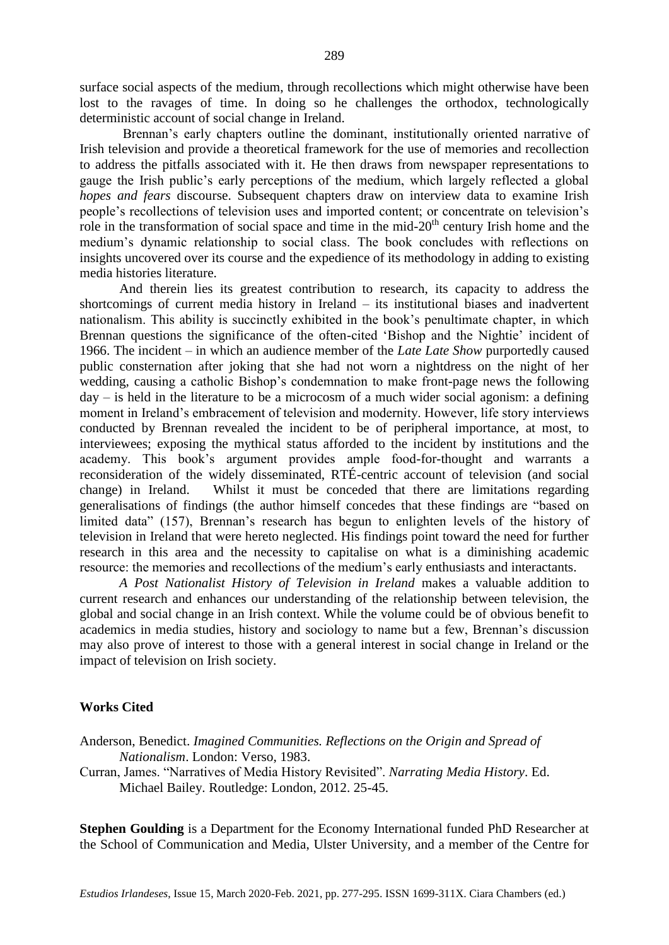surface social aspects of the medium, through recollections which might otherwise have been lost to the ravages of time. In doing so he challenges the orthodox, technologically deterministic account of social change in Ireland.

Brennan's early chapters outline the dominant, institutionally oriented narrative of Irish television and provide a theoretical framework for the use of memories and recollection to address the pitfalls associated with it. He then draws from newspaper representations to gauge the Irish public's early perceptions of the medium, which largely reflected a global *hopes and fears* discourse. Subsequent chapters draw on interview data to examine Irish people's recollections of television uses and imported content; or concentrate on television's role in the transformation of social space and time in the mid- $20<sup>th</sup>$  century Irish home and the medium's dynamic relationship to social class. The book concludes with reflections on insights uncovered over its course and the expedience of its methodology in adding to existing media histories literature.

And therein lies its greatest contribution to research, its capacity to address the shortcomings of current media history in Ireland – its institutional biases and inadvertent nationalism. This ability is succinctly exhibited in the book's penultimate chapter, in which Brennan questions the significance of the often-cited 'Bishop and the Nightie' incident of 1966. The incident – in which an audience member of the *Late Late Show* purportedly caused public consternation after joking that she had not worn a nightdress on the night of her wedding, causing a catholic Bishop's condemnation to make front-page news the following  $day - is held in the literature to be a microcosm of a much wider social agonism: a defining$ moment in Ireland's embracement of television and modernity. However, life story interviews conducted by Brennan revealed the incident to be of peripheral importance, at most, to interviewees; exposing the mythical status afforded to the incident by institutions and the academy. This book's argument provides ample food-for-thought and warrants a reconsideration of the widely disseminated, RTÉ-centric account of television (and social change) in Ireland. Whilst it must be conceded that there are limitations regarding generalisations of findings (the author himself concedes that these findings are "based on limited data" (157), Brennan's research has begun to enlighten levels of the history of television in Ireland that were hereto neglected. His findings point toward the need for further research in this area and the necessity to capitalise on what is a diminishing academic resource: the memories and recollections of the medium's early enthusiasts and interactants.

*A Post Nationalist History of Television in Ireland* makes a valuable addition to current research and enhances our understanding of the relationship between television, the global and social change in an Irish context. While the volume could be of obvious benefit to academics in media studies, history and sociology to name but a few, Brennan's discussion may also prove of interest to those with a general interest in social change in Ireland or the impact of television on Irish society.

## **Works Cited**

- Anderson, Benedict. *Imagined Communities. Reflections on the Origin and Spread of Nationalism*. London: Verso, 1983.
- Curran, James. "Narratives of Media History Revisited". *Narrating Media History*. Ed. Michael Bailey. Routledge: London, 2012. 25-45.

**Stephen Goulding** is a Department for the Economy International funded PhD Researcher at the School of Communication and Media, Ulster University, and a member of the Centre for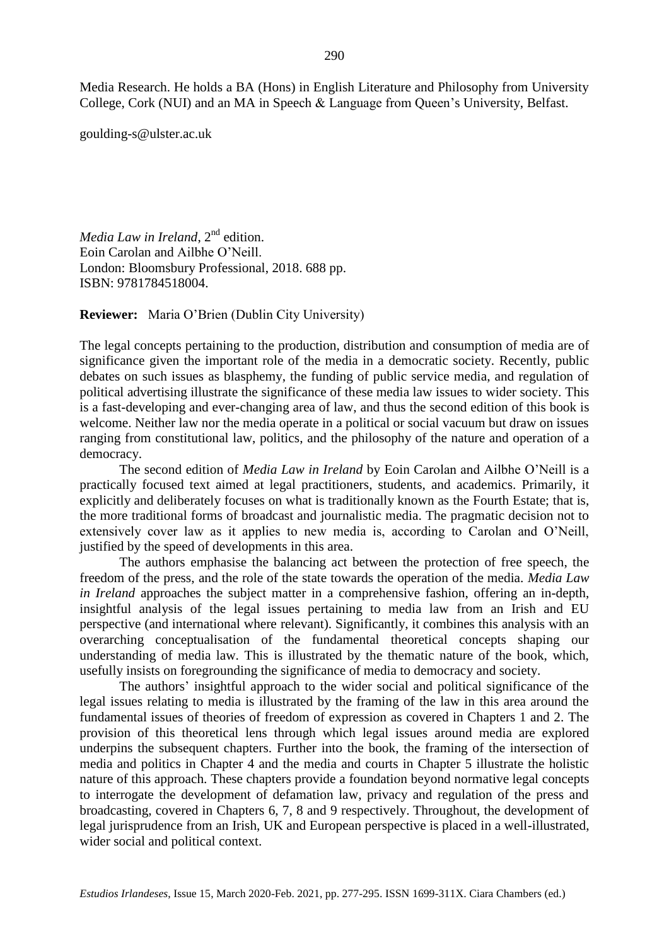Media Research. He holds a BA (Hons) in English Literature and Philosophy from University College, Cork (NUI) and an MA in Speech & Language from Queen's University, Belfast.

goulding-s@ulster.ac.uk

*Media Law in Ireland*, 2<sup>nd</sup> edition. Eoin Carolan and Ailbhe O'Neill. London: Bloomsbury Professional, 2018. 688 pp. ISBN: 9781784518004.

**Reviewer:** Maria O'Brien (Dublin City University)

The legal concepts pertaining to the production, distribution and consumption of media are of significance given the important role of the media in a democratic society. Recently, public debates on such issues as blasphemy, the funding of public service media, and regulation of political advertising illustrate the significance of these media law issues to wider society. This is a fast-developing and ever-changing area of law, and thus the second edition of this book is welcome. Neither law nor the media operate in a political or social vacuum but draw on issues ranging from constitutional law, politics, and the philosophy of the nature and operation of a democracy.

The second edition of *Media Law in Ireland* by Eoin Carolan and Ailbhe O'Neill is a practically focused text aimed at legal practitioners, students, and academics. Primarily, it explicitly and deliberately focuses on what is traditionally known as the Fourth Estate; that is, the more traditional forms of broadcast and journalistic media. The pragmatic decision not to extensively cover law as it applies to new media is, according to Carolan and O'Neill, justified by the speed of developments in this area.

The authors emphasise the balancing act between the protection of free speech, the freedom of the press, and the role of the state towards the operation of the media. *Media Law in Ireland* approaches the subject matter in a comprehensive fashion, offering an in-depth, insightful analysis of the legal issues pertaining to media law from an Irish and EU perspective (and international where relevant). Significantly, it combines this analysis with an overarching conceptualisation of the fundamental theoretical concepts shaping our understanding of media law. This is illustrated by the thematic nature of the book, which, usefully insists on foregrounding the significance of media to democracy and society.

The authors' insightful approach to the wider social and political significance of the legal issues relating to media is illustrated by the framing of the law in this area around the fundamental issues of theories of freedom of expression as covered in Chapters 1 and 2. The provision of this theoretical lens through which legal issues around media are explored underpins the subsequent chapters. Further into the book, the framing of the intersection of media and politics in Chapter 4 and the media and courts in Chapter 5 illustrate the holistic nature of this approach. These chapters provide a foundation beyond normative legal concepts to interrogate the development of defamation law, privacy and regulation of the press and broadcasting, covered in Chapters 6, 7, 8 and 9 respectively. Throughout, the development of legal jurisprudence from an Irish, UK and European perspective is placed in a well-illustrated, wider social and political context.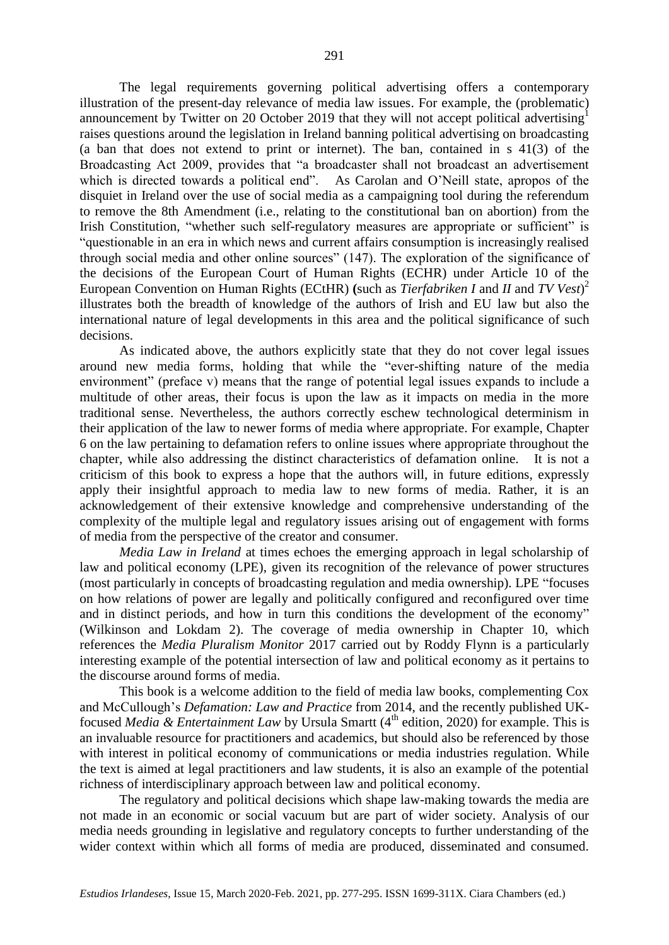The legal requirements governing political advertising offers a contemporary illustration of the present-day relevance of media law issues. For example, the (problematic) announcement by Twitter on 20 October 2019 that they will not accept political advertising<sup>1</sup> raises questions around the legislation in Ireland banning political advertising on broadcasting (a ban that does not extend to print or internet). The ban, contained in s 41(3) of the Broadcasting Act 2009, provides that "a broadcaster shall not broadcast an advertisement which is directed towards a political end". As Carolan and O'Neill state, apropos of the disquiet in Ireland over the use of social media as a campaigning tool during the referendum to remove the 8th Amendment (i.e., relating to the constitutional ban on abortion) from the Irish Constitution, "whether such self-regulatory measures are appropriate or sufficient" is "questionable in an era in which news and current affairs consumption is increasingly realised through social media and other online sources" (147). The exploration of the significance of the decisions of the European Court of Human Rights (ECHR) under Article 10 of the European Convention on Human Rights (ECtHR) **(**such as *Tierfabriken I* and *II* and *TV Vest*) 2 illustrates both the breadth of knowledge of the authors of Irish and EU law but also the international nature of legal developments in this area and the political significance of such decisions.

As indicated above, the authors explicitly state that they do not cover legal issues around new media forms, holding that while the "ever-shifting nature of the media environment" (preface v) means that the range of potential legal issues expands to include a multitude of other areas, their focus is upon the law as it impacts on media in the more traditional sense. Nevertheless, the authors correctly eschew technological determinism in their application of the law to newer forms of media where appropriate. For example, Chapter 6 on the law pertaining to defamation refers to online issues where appropriate throughout the chapter, while also addressing the distinct characteristics of defamation online. It is not a criticism of this book to express a hope that the authors will, in future editions, expressly apply their insightful approach to media law to new forms of media. Rather, it is an acknowledgement of their extensive knowledge and comprehensive understanding of the complexity of the multiple legal and regulatory issues arising out of engagement with forms of media from the perspective of the creator and consumer.

*Media Law in Ireland* at times echoes the emerging approach in legal scholarship of law and political economy (LPE), given its recognition of the relevance of power structures (most particularly in concepts of broadcasting regulation and media ownership). LPE "focuses on how relations of power are legally and politically configured and reconfigured over time and in distinct periods, and how in turn this conditions the development of the economy" (Wilkinson and Lokdam 2). The coverage of media ownership in Chapter 10, which references the *Media Pluralism Monitor* 2017 carried out by Roddy Flynn is a particularly interesting example of the potential intersection of law and political economy as it pertains to the discourse around forms of media.

This book is a welcome addition to the field of media law books, complementing Cox and McCullough's *Defamation: Law and Practice* from 2014, and the recently published UKfocused *Media & Entertainment Law* by Ursula Smartt (4th edition, 2020) for example. This is an invaluable resource for practitioners and academics, but should also be referenced by those with interest in political economy of communications or media industries regulation. While the text is aimed at legal practitioners and law students, it is also an example of the potential richness of interdisciplinary approach between law and political economy.

The regulatory and political decisions which shape law-making towards the media are not made in an economic or social vacuum but are part of wider society. Analysis of our media needs grounding in legislative and regulatory concepts to further understanding of the wider context within which all forms of media are produced, disseminated and consumed.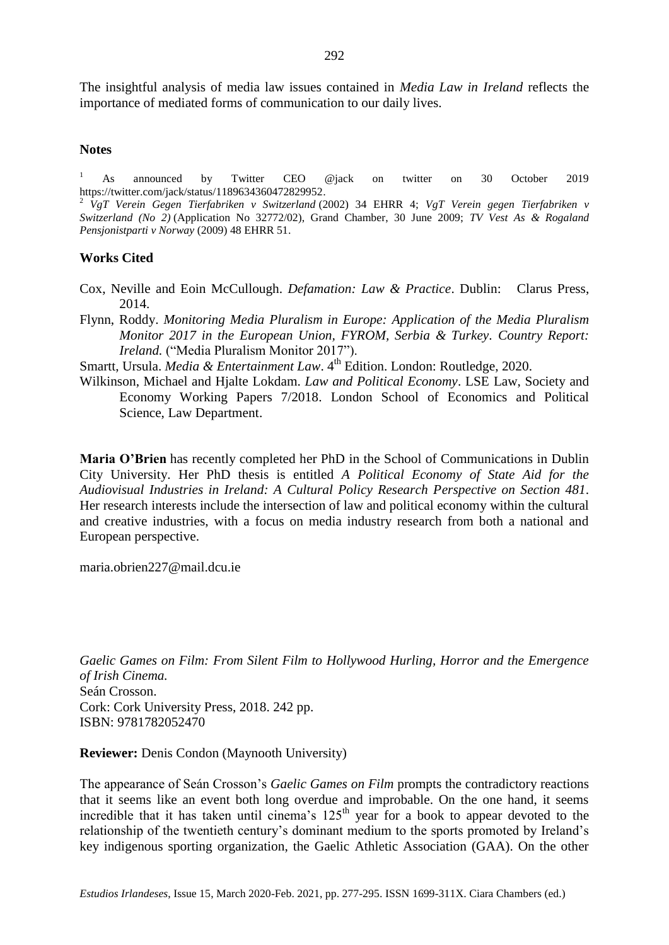The insightful analysis of media law issues contained in *Media Law in Ireland* reflects the importance of mediated forms of communication to our daily lives.

#### **Notes**

<sup>1</sup> As announced by Twitter CEO @jack on twitter on 30 October 2019 [https://twitter.com/jack/status/1189634360472829952.](https://twitter.com/jack/status/1189634360472829952)

<sup>2</sup> *VgT Verein Gegen Tierfabriken v Switzerland* (2002) 34 EHRR 4; *VgT Verein gegen Tierfabriken v Switzerland (No 2)* (Application No 32772/02), Grand Chamber, 30 June 2009; *TV Vest As & Rogaland Pensjonistparti v Norway* (2009) 48 EHRR 51.

### **Works Cited**

- Cox, Neville and Eoin McCullough. *Defamation: Law & Practice*. Dublin: Clarus Press, 2014.
- Flynn, Roddy. *Monitoring Media Pluralism in Europe: Application of the Media Pluralism Monitor 2017 in the European Union, FYROM, Serbia & Turkey. Country Report: Ireland.* ("Media Pluralism Monitor 2017").
- Smartt, Ursula. *Media & Entertainment Law*. 4<sup>th</sup> Edition. London: Routledge, 2020.
- Wilkinson, Michael and Hjalte Lokdam. *Law and Political Economy*. LSE Law, Society and Economy Working Papers 7/2018. London School of Economics and Political Science, Law Department.

**Maria O'Brien** has recently completed her PhD in the School of Communications in Dublin City University. Her PhD thesis is entitled *A Political Economy of State Aid for the Audiovisual Industries in Ireland: A Cultural Policy Research Perspective on Section 481*. Her research interests include the intersection of law and political economy within the cultural and creative industries, with a focus on media industry research from both a national and European perspective.

[maria.obrien227@mail.dcu.ie](mailto:maria.obrien227@mail.dcu.ie)

*Gaelic Games on Film: From Silent Film to Hollywood Hurling, Horror and the Emergence of Irish Cinema.* Seán Crosson. Cork: Cork University Press, 2018. 242 pp. ISBN: 9781782052470

**Reviewer:** Denis Condon (Maynooth University)

The appearance of Seán Crosson's *Gaelic Games on Film* prompts the contradictory reactions that it seems like an event both long overdue and improbable. On the one hand, it seems incredible that it has taken until cinema's  $125<sup>th</sup>$  year for a book to appear devoted to the relationship of the twentieth century's dominant medium to the sports promoted by Ireland's key indigenous sporting organization, the Gaelic Athletic Association (GAA). On the other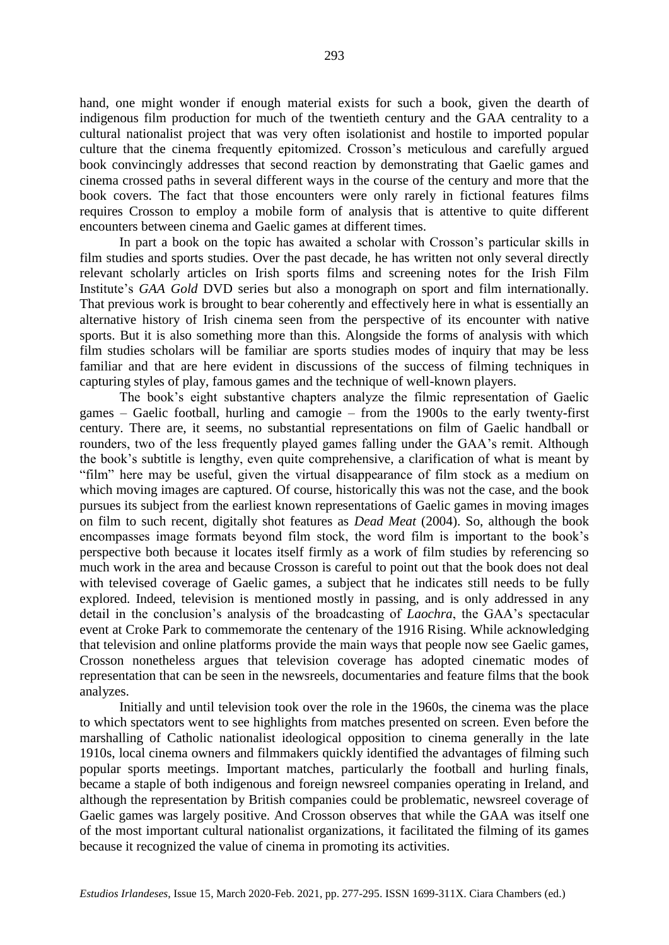hand, one might wonder if enough material exists for such a book, given the dearth of indigenous film production for much of the twentieth century and the GAA centrality to a cultural nationalist project that was very often isolationist and hostile to imported popular culture that the cinema frequently epitomized. Crosson's meticulous and carefully argued book convincingly addresses that second reaction by demonstrating that Gaelic games and cinema crossed paths in several different ways in the course of the century and more that the book covers. The fact that those encounters were only rarely in fictional features films requires Crosson to employ a mobile form of analysis that is attentive to quite different encounters between cinema and Gaelic games at different times.

In part a book on the topic has awaited a scholar with Crosson's particular skills in film studies and sports studies. Over the past decade, he has written not only several directly relevant scholarly articles on Irish sports films and screening notes for the Irish Film Institute's *GAA Gold* DVD series but also a monograph on sport and film internationally. That previous work is brought to bear coherently and effectively here in what is essentially an alternative history of Irish cinema seen from the perspective of its encounter with native sports. But it is also something more than this. Alongside the forms of analysis with which film studies scholars will be familiar are sports studies modes of inquiry that may be less familiar and that are here evident in discussions of the success of filming techniques in capturing styles of play, famous games and the technique of well-known players.

The book's eight substantive chapters analyze the filmic representation of Gaelic games – Gaelic football, hurling and camogie – from the 1900s to the early twenty-first century. There are, it seems, no substantial representations on film of Gaelic handball or rounders, two of the less frequently played games falling under the GAA's remit. Although the book's subtitle is lengthy, even quite comprehensive, a clarification of what is meant by "film" here may be useful, given the virtual disappearance of film stock as a medium on which moving images are captured. Of course, historically this was not the case, and the book pursues its subject from the earliest known representations of Gaelic games in moving images on film to such recent, digitally shot features as *Dead Meat* (2004). So, although the book encompasses image formats beyond film stock, the word film is important to the book's perspective both because it locates itself firmly as a work of film studies by referencing so much work in the area and because Crosson is careful to point out that the book does not deal with televised coverage of Gaelic games, a subject that he indicates still needs to be fully explored. Indeed, television is mentioned mostly in passing, and is only addressed in any detail in the conclusion's analysis of the broadcasting of *Laochra*, the GAA's spectacular event at Croke Park to commemorate the centenary of the 1916 Rising. While acknowledging that television and online platforms provide the main ways that people now see Gaelic games, Crosson nonetheless argues that television coverage has adopted cinematic modes of representation that can be seen in the newsreels, documentaries and feature films that the book analyzes.

Initially and until television took over the role in the 1960s, the cinema was the place to which spectators went to see highlights from matches presented on screen. Even before the marshalling of Catholic nationalist ideological opposition to cinema generally in the late 1910s, local cinema owners and filmmakers quickly identified the advantages of filming such popular sports meetings. Important matches, particularly the football and hurling finals, became a staple of both indigenous and foreign newsreel companies operating in Ireland, and although the representation by British companies could be problematic, newsreel coverage of Gaelic games was largely positive. And Crosson observes that while the GAA was itself one of the most important cultural nationalist organizations, it facilitated the filming of its games because it recognized the value of cinema in promoting its activities.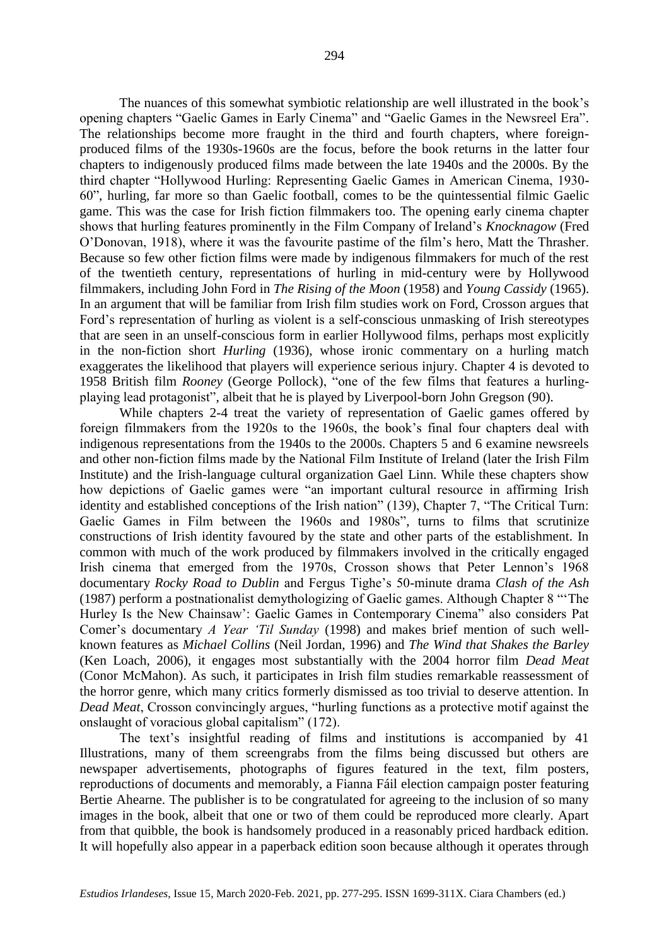The nuances of this somewhat symbiotic relationship are well illustrated in the book's opening chapters "Gaelic Games in Early Cinema" and "Gaelic Games in the Newsreel Era". The relationships become more fraught in the third and fourth chapters, where foreignproduced films of the 1930s-1960s are the focus, before the book returns in the latter four chapters to indigenously produced films made between the late 1940s and the 2000s. By the third chapter "Hollywood Hurling: Representing Gaelic Games in American Cinema, 1930- 60", hurling, far more so than Gaelic football, comes to be the quintessential filmic Gaelic game. This was the case for Irish fiction filmmakers too. The opening early cinema chapter shows that hurling features prominently in the Film Company of Ireland's *Knocknagow* (Fred O'Donovan, 1918), where it was the favourite pastime of the film's hero, Matt the Thrasher. Because so few other fiction films were made by indigenous filmmakers for much of the rest of the twentieth century, representations of hurling in mid-century were by Hollywood filmmakers, including John Ford in *The Rising of the Moon* (1958) and *Young Cassidy* (1965). In an argument that will be familiar from Irish film studies work on Ford, Crosson argues that Ford's representation of hurling as violent is a self-conscious unmasking of Irish stereotypes that are seen in an unself-conscious form in earlier Hollywood films, perhaps most explicitly in the non-fiction short *Hurling* (1936), whose ironic commentary on a hurling match exaggerates the likelihood that players will experience serious injury. Chapter 4 is devoted to 1958 British film *Rooney* (George Pollock), "one of the few films that features a hurlingplaying lead protagonist", albeit that he is played by Liverpool-born John Gregson (90).

While chapters 2-4 treat the variety of representation of Gaelic games offered by foreign filmmakers from the 1920s to the 1960s, the book's final four chapters deal with indigenous representations from the 1940s to the 2000s. Chapters 5 and 6 examine newsreels and other non-fiction films made by the National Film Institute of Ireland (later the Irish Film Institute) and the Irish-language cultural organization Gael Linn. While these chapters show how depictions of Gaelic games were "an important cultural resource in affirming Irish identity and established conceptions of the Irish nation" (139), Chapter 7, "The Critical Turn: Gaelic Games in Film between the 1960s and 1980s", turns to films that scrutinize constructions of Irish identity favoured by the state and other parts of the establishment. In common with much of the work produced by filmmakers involved in the critically engaged Irish cinema that emerged from the 1970s, Crosson shows that Peter Lennon's 1968 documentary *Rocky Road to Dublin* and Fergus Tighe's 50-minute drama *Clash of the Ash*  (1987) perform a postnationalist demythologizing of Gaelic games. Although Chapter 8 "'The Hurley Is the New Chainsaw': Gaelic Games in Contemporary Cinema" also considers Pat Comer's documentary *A Year 'Til Sunday* (1998) and makes brief mention of such wellknown features as *Michael Collins* (Neil Jordan, 1996) and *The Wind that Shakes the Barley* (Ken Loach, 2006), it engages most substantially with the 2004 horror film *Dead Meat* (Conor McMahon). As such, it participates in Irish film studies remarkable reassessment of the horror genre, which many critics formerly dismissed as too trivial to deserve attention. In *Dead Meat*, Crosson convincingly argues, "hurling functions as a protective motif against the onslaught of voracious global capitalism" (172).

The text's insightful reading of films and institutions is accompanied by 41 Illustrations, many of them screengrabs from the films being discussed but others are newspaper advertisements, photographs of figures featured in the text, film posters, reproductions of documents and memorably, a Fianna Fáil election campaign poster featuring Bertie Ahearne. The publisher is to be congratulated for agreeing to the inclusion of so many images in the book, albeit that one or two of them could be reproduced more clearly. Apart from that quibble, the book is handsomely produced in a reasonably priced hardback edition. It will hopefully also appear in a paperback edition soon because although it operates through